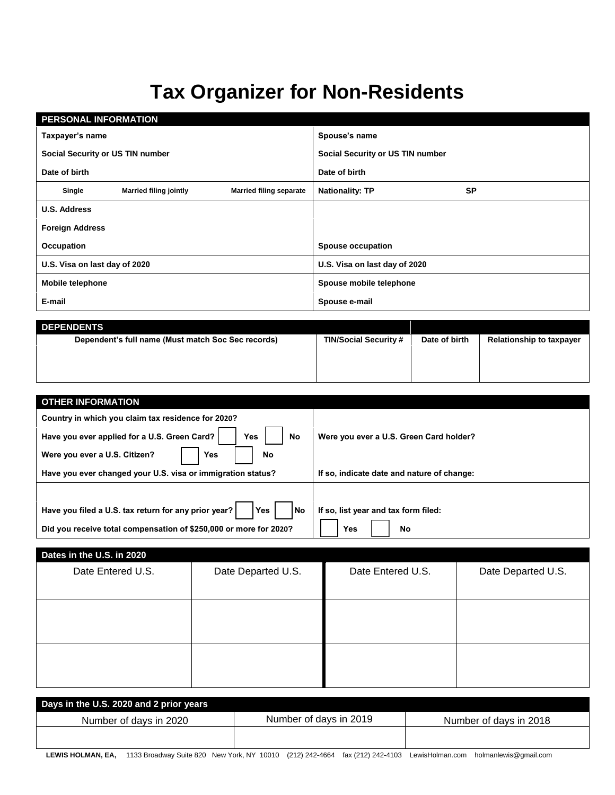## **Tax Organizer for Non-Residents**

| <b>PERSONAL INFORMATION</b>             |                                                          |           |
|-----------------------------------------|----------------------------------------------------------|-----------|
| Taxpayer's name                         | Spouse's name                                            |           |
| Social Security or US TIN number        | Social Security or US TIN number                         |           |
| Date of birth                           | Date of birth                                            |           |
| <b>Married filing jointly</b><br>Single | <b>Married filing separate</b><br><b>Nationality: TP</b> | <b>SP</b> |
| <b>U.S. Address</b>                     |                                                          |           |
| <b>Foreign Address</b>                  |                                                          |           |
| Occupation                              | <b>Spouse occupation</b>                                 |           |
| U.S. Visa on last day of 2020           | U.S. Visa on last day of 2020                            |           |
| <b>Mobile telephone</b>                 | Spouse mobile telephone                                  |           |
| E-mail                                  | Spouse e-mail                                            |           |

| <b>DEPENDENTS</b>                                  |                              |               |                                 |
|----------------------------------------------------|------------------------------|---------------|---------------------------------|
| Dependent's full name (Must match Soc Sec records) | <b>TIN/Social Security #</b> | Date of birth | <b>Relationship to taxpayer</b> |
|                                                    |                              |               |                                 |
|                                                    |                              |               |                                 |
|                                                    |                              |               |                                 |
|                                                    |                              |               |                                 |

| <b>OTHER INFORMATION</b>                                                   |                                            |  |  |  |
|----------------------------------------------------------------------------|--------------------------------------------|--|--|--|
| Country in which you claim tax residence for 2020?                         |                                            |  |  |  |
| Have you ever applied for a U.S. Green Card?<br><b>Yes</b><br>No           | Were you ever a U.S. Green Card holder?    |  |  |  |
| Were you ever a U.S. Citizen?<br><b>Yes</b><br>No                          |                                            |  |  |  |
| Have you ever changed your U.S. visa or immigration status?                | If so, indicate date and nature of change: |  |  |  |
|                                                                            |                                            |  |  |  |
| <b>Yes</b><br>Have you filed a U.S. tax return for any prior year?<br>l No | If so, list year and tax form filed:       |  |  |  |
| Did you receive total compensation of \$250,000 or more for 2020?          | Yes<br>No                                  |  |  |  |

| Dates in the U.S. in 2020 |                    |                   |                    |
|---------------------------|--------------------|-------------------|--------------------|
| Date Entered U.S.         | Date Departed U.S. | Date Entered U.S. | Date Departed U.S. |
|                           |                    |                   |                    |
|                           |                    |                   |                    |
|                           |                    |                   |                    |
|                           |                    |                   |                    |
|                           |                    |                   |                    |
|                           |                    |                   |                    |
|                           |                    |                   |                    |
|                           |                    |                   |                    |

| Days in the U.S. 2020 and 2 prior years                                                                                                                                                                                           |                        |                        |
|-----------------------------------------------------------------------------------------------------------------------------------------------------------------------------------------------------------------------------------|------------------------|------------------------|
| Number of days in 2020                                                                                                                                                                                                            | Number of days in 2019 | Number of days in 2018 |
|                                                                                                                                                                                                                                   |                        |                        |
| <b>FUIR HALBERT FE</b> FROM THE OLD MAN HALF RIVERSION (ARA) ARRAIGE (ARA) ARRAIGENT TILL THE LITE OF THE RESULTS OF THE RESULTS OF THE RESULTS OF THE RESULTS OF THE RESULTS OF THE RESULTS OF THE RESULTS OF THE RESULTS OF THE |                        |                        |